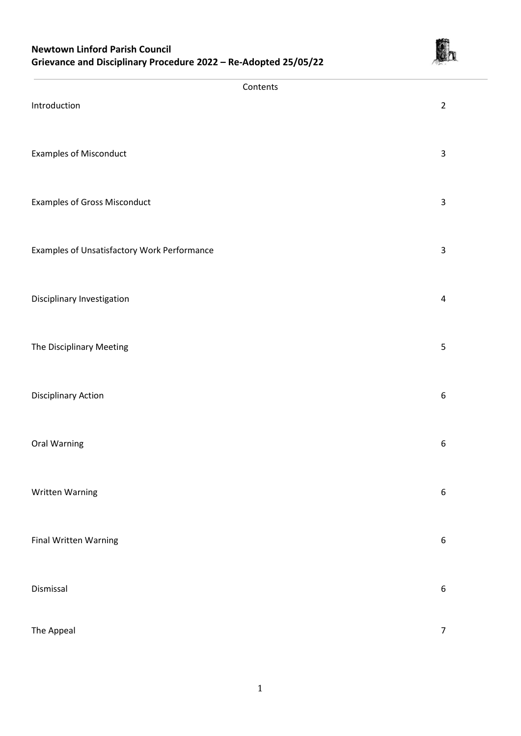# **Newtown Linford Parish Council Grievance and Disciplinary Procedure 2022 – Re-Adopted 25/05/22**



| Contents                                    |                         |
|---------------------------------------------|-------------------------|
| Introduction                                | $\overline{2}$          |
| <b>Examples of Misconduct</b>               | $\mathsf 3$             |
| <b>Examples of Gross Misconduct</b>         | $\mathsf 3$             |
| Examples of Unsatisfactory Work Performance | $\mathsf 3$             |
| Disciplinary Investigation                  | $\overline{\mathbf{4}}$ |
| The Disciplinary Meeting                    | 5                       |
| <b>Disciplinary Action</b>                  | $\boldsymbol{6}$        |
| Oral Warning                                | 6                       |
| Written Warning                             | 6                       |
| Final Written Warning                       | $\boldsymbol{6}$        |
| Dismissal                                   | $\boldsymbol{6}$        |
| The Appeal                                  | $\overline{7}$          |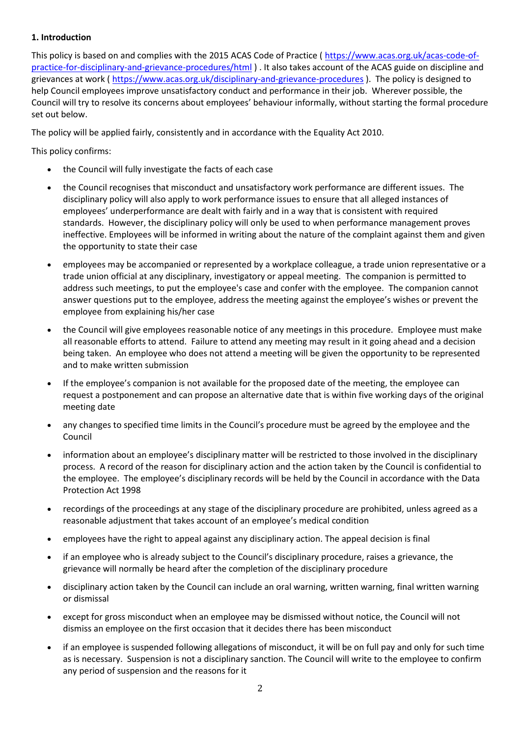# **1. Introduction**

This policy is based on and complies with the 2015 ACAS Code of Practice ( [https://www.acas.org.uk/acas-code-of](https://www.acas.org.uk/acas-code-of-practice-for-disciplinary-and-grievance-procedures/html)[practice-for-disciplinary-and-grievance-procedures/html](https://www.acas.org.uk/acas-code-of-practice-for-disciplinary-and-grievance-procedures/html)). It also takes account of the ACAS guide on discipline and grievances at work (https://www.acas.org.uk/disciplinary-and-grievance-procedures). The policy is designed to help Council employees improve unsatisfactory conduct and performance in their job. Wherever possible, the Council will try to resolve its concerns about employees' behaviour informally, without starting the formal procedure set out below.

The policy will be applied fairly, consistently and in accordance with the Equality Act 2010.

This policy confirms:

- the Council will fully investigate the facts of each case
- the Council recognises that misconduct and unsatisfactory work performance are different issues. The disciplinary policy will also apply to work performance issues to ensure that all alleged instances of employees' underperformance are dealt with fairly and in a way that is consistent with required standards. However, the disciplinary policy will only be used to when performance management proves ineffective. Employees will be informed in writing about the nature of the complaint against them and given the opportunity to state their case
- employees may be accompanied or represented by a workplace colleague, a trade union representative or a trade union official at any disciplinary, investigatory or appeal meeting. The companion is permitted to address such meetings, to put the employee's case and confer with the employee. The companion cannot answer questions put to the employee, address the meeting against the employee's wishes or prevent the employee from explaining his/her case
- the Council will give employees reasonable notice of any meetings in this procedure. Employee must make all reasonable efforts to attend. Failure to attend any meeting may result in it going ahead and a decision being taken. An employee who does not attend a meeting will be given the opportunity to be represented and to make written submission
- If the employee's companion is not available for the proposed date of the meeting, the employee can request a postponement and can propose an alternative date that is within five working days of the original meeting date
- any changes to specified time limits in the Council's procedure must be agreed by the employee and the Council
- information about an employee's disciplinary matter will be restricted to those involved in the disciplinary process. A record of the reason for disciplinary action and the action taken by the Council is confidential to the employee. The employee's disciplinary records will be held by the Council in accordance with the Data Protection Act 1998
- recordings of the proceedings at any stage of the disciplinary procedure are prohibited, unless agreed as a reasonable adjustment that takes account of an employee's medical condition
- employees have the right to appeal against any disciplinary action. The appeal decision is final
- if an employee who is already subject to the Council's disciplinary procedure, raises a grievance, the grievance will normally be heard after the completion of the disciplinary procedure
- disciplinary action taken by the Council can include an oral warning, written warning, final written warning or dismissal
- except for gross misconduct when an employee may be dismissed without notice, the Council will not dismiss an employee on the first occasion that it decides there has been misconduct
- if an employee is suspended following allegations of misconduct, it will be on full pay and only for such time as is necessary. Suspension is not a disciplinary sanction. The Council will write to the employee to confirm any period of suspension and the reasons for it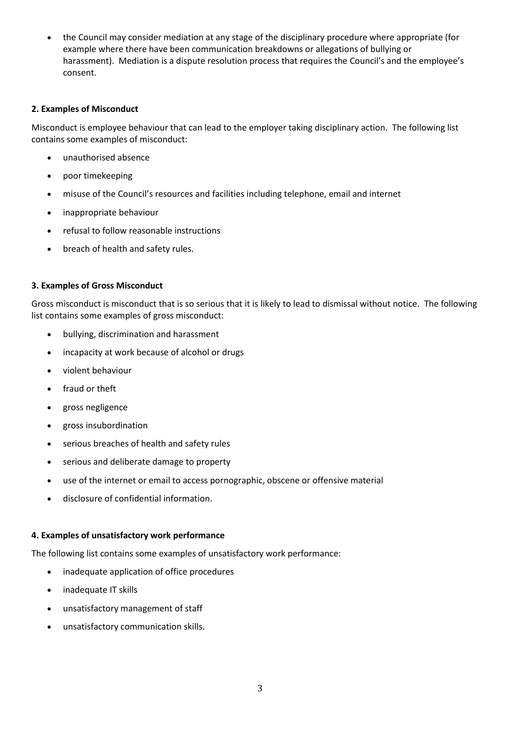the Council may consider mediation at any stage of the disciplinary procedure where appropriate (for example where there have been communication breakdowns or allegations of bullying or harassment). Mediation is a dispute resolution process that requires the Council's and the employee's consent.

## **2. Examples of Misconduct**

Misconduct is employee behaviour that can lead to the employer taking disciplinary action. The following list contains some examples of misconduct:

- unauthorised absence
- poor timekeeping
- misuse of the Council's resources and facilities including telephone, email and internet
- inappropriate behaviour
- refusal to follow reasonable instructions
- breach of health and safety rules.

## **3. Examples of Gross Misconduct**

Gross misconduct is misconduct that is so serious that it is likely to lead to dismissal without notice. The following list contains some examples of gross misconduct:

- bullying, discrimination and harassment
- incapacity at work because of alcohol or drugs
- violent behaviour
- fraud or theft
- gross negligence
- gross insubordination
- serious breaches of health and safety rules
- serious and deliberate damage to property
- use of the internet or email to access pornographic, obscene or offensive material
- disclosure of confidential information.

### **4. Examples of unsatisfactory work performance**

The following list contains some examples of unsatisfactory work performance:

- inadequate application of office procedures
- inadequate IT skills
- unsatisfactory management of staff
- unsatisfactory communication skills.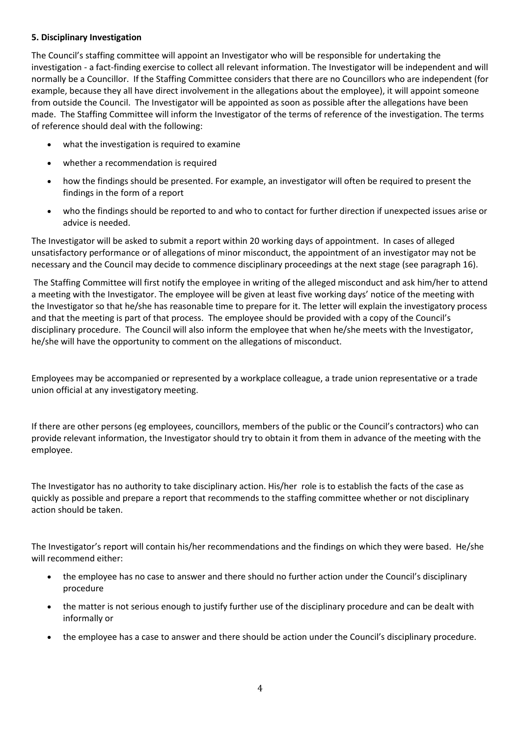## **5. Disciplinary Investigation**

The Council's staffing committee will appoint an Investigator who will be responsible for undertaking the investigation - a fact-finding exercise to collect all relevant information. The Investigator will be independent and will normally be a Councillor. If the Staffing Committee considers that there are no Councillors who are independent (for example, because they all have direct involvement in the allegations about the employee), it will appoint someone from outside the Council. The Investigator will be appointed as soon as possible after the allegations have been made. The Staffing Committee will inform the Investigator of the terms of reference of the investigation. The terms of reference should deal with the following:

- what the investigation is required to examine
- whether a recommendation is required
- how the findings should be presented. For example, an investigator will often be required to present the findings in the form of a report
- who the findings should be reported to and who to contact for further direction if unexpected issues arise or advice is needed.

The Investigator will be asked to submit a report within 20 working days of appointment. In cases of alleged unsatisfactory performance or of allegations of minor misconduct, the appointment of an investigator may not be necessary and the Council may decide to commence disciplinary proceedings at the next stage (see paragraph 16).

The Staffing Committee will first notify the employee in writing of the alleged misconduct and ask him/her to attend a meeting with the Investigator. The employee will be given at least five working days' notice of the meeting with the Investigator so that he/she has reasonable time to prepare for it. The letter will explain the investigatory process and that the meeting is part of that process. The employee should be provided with a copy of the Council's disciplinary procedure. The Council will also inform the employee that when he/she meets with the Investigator, he/she will have the opportunity to comment on the allegations of misconduct.

Employees may be accompanied or represented by a workplace colleague, a trade union representative or a trade union official at any investigatory meeting.

If there are other persons (eg employees, councillors, members of the public or the Council's contractors) who can provide relevant information, the Investigator should try to obtain it from them in advance of the meeting with the employee.

The Investigator has no authority to take disciplinary action. His/her role is to establish the facts of the case as quickly as possible and prepare a report that recommends to the staffing committee whether or not disciplinary action should be taken.

The Investigator's report will contain his/her recommendations and the findings on which they were based. He/she will recommend either:

- the employee has no case to answer and there should no further action under the Council's disciplinary procedure
- the matter is not serious enough to justify further use of the disciplinary procedure and can be dealt with informally or
- the employee has a case to answer and there should be action under the Council's disciplinary procedure.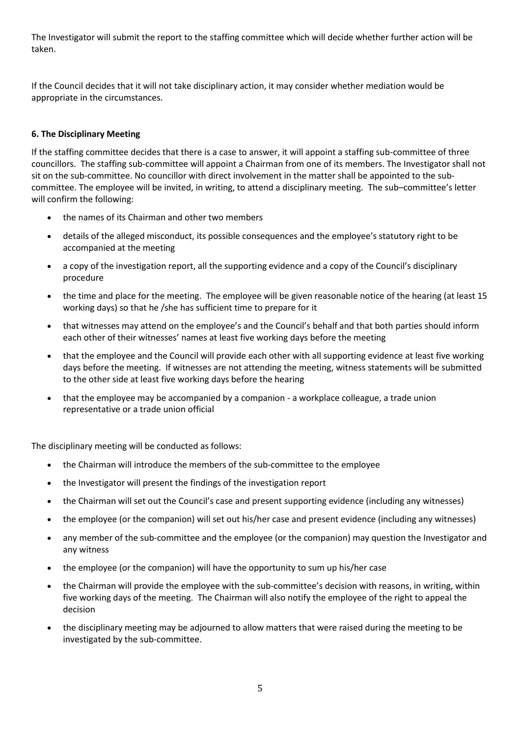The Investigator will submit the report to the staffing committee which will decide whether further action will be taken.

If the Council decides that it will not take disciplinary action, it may consider whether mediation would be appropriate in the circumstances.

# **6. The Disciplinary Meeting**

If the staffing committee decides that there is a case to answer, it will appoint a staffing sub-committee of three councillors. The staffing sub-committee will appoint a Chairman from one of its members. The Investigator shall not sit on the sub-committee. No councillor with direct involvement in the matter shall be appointed to the subcommittee. The employee will be invited, in writing, to attend a disciplinary meeting. The sub–committee's letter will confirm the following:

- the names of its Chairman and other two members
- details of the alleged misconduct, its possible consequences and the employee's statutory right to be accompanied at the meeting
- a copy of the investigation report, all the supporting evidence and a copy of the Council's disciplinary procedure
- the time and place for the meeting. The employee will be given reasonable notice of the hearing (at least 15 working days) so that he /she has sufficient time to prepare for it
- that witnesses may attend on the employee's and the Council's behalf and that both parties should inform each other of their witnesses' names at least five working days before the meeting
- that the employee and the Council will provide each other with all supporting evidence at least five working days before the meeting. If witnesses are not attending the meeting, witness statements will be submitted to the other side at least five working days before the hearing
- that the employee may be accompanied by a companion a workplace colleague, a trade union representative or a trade union official

The disciplinary meeting will be conducted as follows:

- the Chairman will introduce the members of the sub-committee to the employee
- the Investigator will present the findings of the investigation report
- the Chairman will set out the Council's case and present supporting evidence (including any witnesses)
- the employee (or the companion) will set out his/her case and present evidence (including any witnesses)
- any member of the sub-committee and the employee (or the companion) may question the Investigator and any witness
- the employee (or the companion) will have the opportunity to sum up his/her case
- the Chairman will provide the employee with the sub-committee's decision with reasons, in writing, within five working days of the meeting. The Chairman will also notify the employee of the right to appeal the decision
- the disciplinary meeting may be adjourned to allow matters that were raised during the meeting to be investigated by the sub-committee.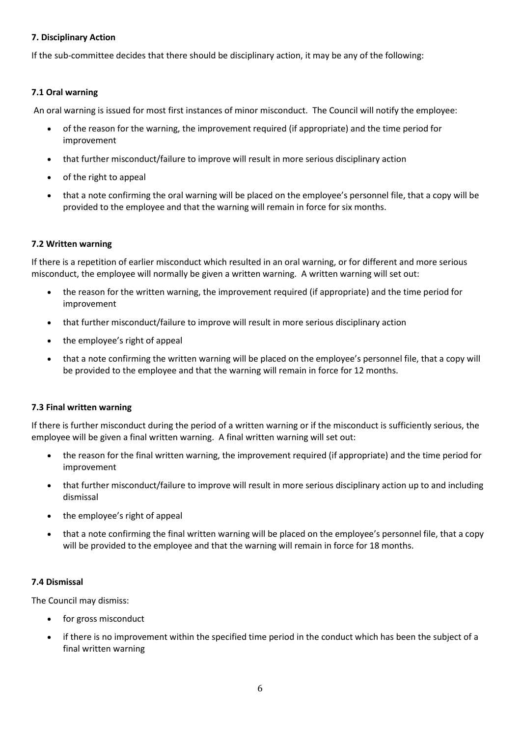## **7. Disciplinary Action**

If the sub-committee decides that there should be disciplinary action, it may be any of the following:

# **7.1 Oral warning**

An oral warning is issued for most first instances of minor misconduct. The Council will notify the employee:

- of the reason for the warning, the improvement required (if appropriate) and the time period for improvement
- that further misconduct/failure to improve will result in more serious disciplinary action
- of the right to appeal
- that a note confirming the oral warning will be placed on the employee's personnel file, that a copy will be provided to the employee and that the warning will remain in force for six months.

### **7.2 Written warning**

If there is a repetition of earlier misconduct which resulted in an oral warning, or for different and more serious misconduct, the employee will normally be given a written warning. A written warning will set out:

- the reason for the written warning, the improvement required (if appropriate) and the time period for improvement
- that further misconduct/failure to improve will result in more serious disciplinary action
- the employee's right of appeal
- that a note confirming the written warning will be placed on the employee's personnel file, that a copy will be provided to the employee and that the warning will remain in force for 12 months.

### **7.3 Final written warning**

If there is further misconduct during the period of a written warning or if the misconduct is sufficiently serious, the employee will be given a final written warning. A final written warning will set out:

- the reason for the final written warning, the improvement required (if appropriate) and the time period for improvement
- that further misconduct/failure to improve will result in more serious disciplinary action up to and including dismissal
- the employee's right of appeal
- that a note confirming the final written warning will be placed on the employee's personnel file, that a copy will be provided to the employee and that the warning will remain in force for 18 months.

### **7.4 Dismissal**

The Council may dismiss:

- for gross misconduct
- if there is no improvement within the specified time period in the conduct which has been the subject of a final written warning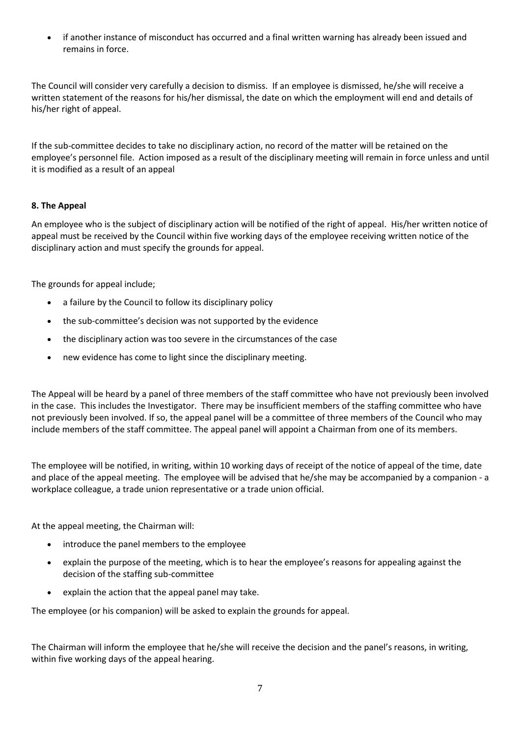if another instance of misconduct has occurred and a final written warning has already been issued and remains in force.

The Council will consider very carefully a decision to dismiss. If an employee is dismissed, he/she will receive a written statement of the reasons for his/her dismissal, the date on which the employment will end and details of his/her right of appeal.

If the sub-committee decides to take no disciplinary action, no record of the matter will be retained on the employee's personnel file. Action imposed as a result of the disciplinary meeting will remain in force unless and until it is modified as a result of an appeal

# **8. The Appeal**

An employee who is the subject of disciplinary action will be notified of the right of appeal. His/her written notice of appeal must be received by the Council within five working days of the employee receiving written notice of the disciplinary action and must specify the grounds for appeal.

The grounds for appeal include;

- a failure by the Council to follow its disciplinary policy
- the sub-committee's decision was not supported by the evidence
- the disciplinary action was too severe in the circumstances of the case
- new evidence has come to light since the disciplinary meeting.

The Appeal will be heard by a panel of three members of the staff committee who have not previously been involved in the case. This includes the Investigator. There may be insufficient members of the staffing committee who have not previously been involved. If so, the appeal panel will be a committee of three members of the Council who may include members of the staff committee. The appeal panel will appoint a Chairman from one of its members.

The employee will be notified, in writing, within 10 working days of receipt of the notice of appeal of the time, date and place of the appeal meeting. The employee will be advised that he/she may be accompanied by a companion - a workplace colleague, a trade union representative or a trade union official.

At the appeal meeting, the Chairman will:

- introduce the panel members to the employee
- explain the purpose of the meeting, which is to hear the employee's reasons for appealing against the decision of the staffing sub-committee
- explain the action that the appeal panel may take.

The employee (or his companion) will be asked to explain the grounds for appeal.

The Chairman will inform the employee that he/she will receive the decision and the panel's reasons, in writing, within five working days of the appeal hearing.